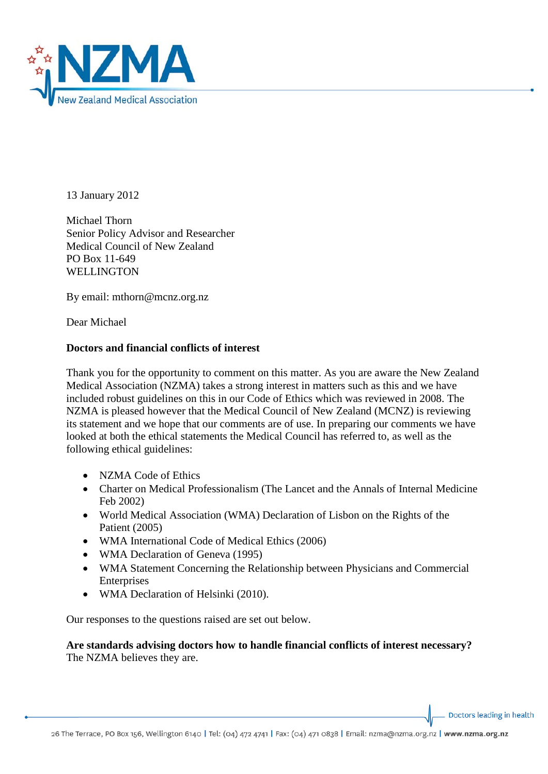

13 January 2012

Michael Thorn Senior Policy Advisor and Researcher Medical Council of New Zealand PO Box 11-649 WELLINGTON

By email: mthorn@mcnz.org.nz

Dear Michael

# **Doctors and financial conflicts of interest**

Thank you for the opportunity to comment on this matter. As you are aware the New Zealand Medical Association (NZMA) takes a strong interest in matters such as this and we have included robust guidelines on this in our Code of Ethics which was reviewed in 2008. The NZMA is pleased however that the Medical Council of New Zealand (MCNZ) is reviewing its statement and we hope that our comments are of use. In preparing our comments we have looked at both the ethical statements the Medical Council has referred to, as well as the following ethical guidelines:

- NZMA Code of Ethics
- Charter on Medical Professionalism (The Lancet and the Annals of Internal Medicine Feb 2002)
- World Medical Association (WMA) Declaration of Lisbon on the Rights of the Patient (2005)
- WMA International Code of Medical Ethics (2006)
- WMA Declaration of Geneva (1995)
- WMA Statement Concerning the Relationship between Physicians and Commercial Enterprises
- WMA Declaration of Helsinki (2010).

Our responses to the questions raised are set out below.

# **Are standards advising doctors how to handle financial conflicts of interest necessary?** The NZMA believes they are.

Doctors leading in health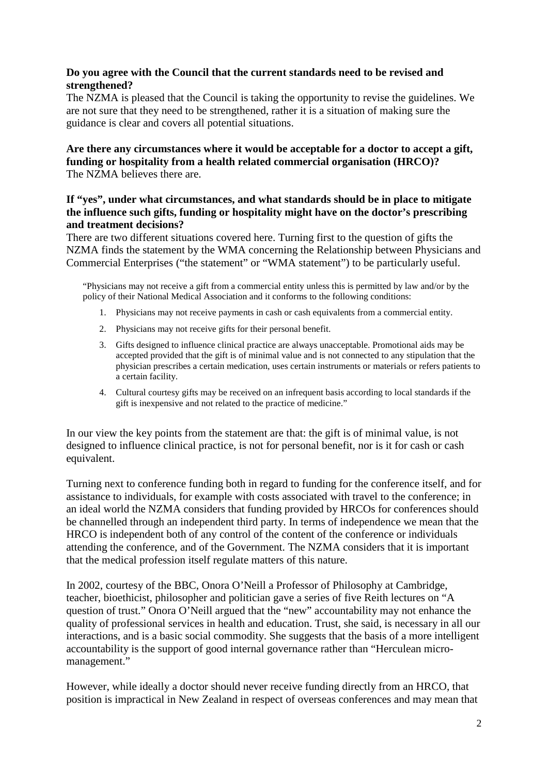## **Do you agree with the Council that the current standards need to be revised and strengthened?**

The NZMA is pleased that the Council is taking the opportunity to revise the guidelines. We are not sure that they need to be strengthened, rather it is a situation of making sure the guidance is clear and covers all potential situations.

# **Are there any circumstances where it would be acceptable for a doctor to accept a gift, funding or hospitality from a health related commercial organisation (HRCO)?** The NZMA believes there are.

## **If "yes", under what circumstances, and what standards should be in place to mitigate the influence such gifts, funding or hospitality might have on the doctor's prescribing and treatment decisions?**

There are two different situations covered here. Turning first to the question of gifts the NZMA finds the statement by the WMA concerning the Relationship between Physicians and Commercial Enterprises ("the statement" or "WMA statement") to be particularly useful.

"Physicians may not receive a gift from a commercial entity unless this is permitted by law and/or by the policy of their National Medical Association and it conforms to the following conditions:

- 1. Physicians may not receive payments in cash or cash equivalents from a commercial entity.
- 2. Physicians may not receive gifts for their personal benefit.
- 3. Gifts designed to influence clinical practice are always unacceptable. Promotional aids may be accepted provided that the gift is of minimal value and is not connected to any stipulation that the physician prescribes a certain medication, uses certain instruments or materials or refers patients to a certain facility.
- 4. Cultural courtesy gifts may be received on an infrequent basis according to local standards if the gift is inexpensive and not related to the practice of medicine."

In our view the key points from the statement are that: the gift is of minimal value, is not designed to influence clinical practice, is not for personal benefit, nor is it for cash or cash equivalent.

Turning next to conference funding both in regard to funding for the conference itself, and for assistance to individuals, for example with costs associated with travel to the conference; in an ideal world the NZMA considers that funding provided by HRCOs for conferences should be channelled through an independent third party. In terms of independence we mean that the HRCO is independent both of any control of the content of the conference or individuals attending the conference, and of the Government. The NZMA considers that it is important that the medical profession itself regulate matters of this nature.

In 2002, courtesy of the BBC, Onora O'Neill a Professor of Philosophy at Cambridge, teacher, bioethicist, philosopher and politician gave a series of five Reith lectures on "A question of trust." Onora O'Neill argued that the "new" accountability may not enhance the quality of professional services in health and education. Trust, she said, is necessary in all our interactions, and is a basic social commodity. She suggests that the basis of a more intelligent accountability is the support of good internal governance rather than "Herculean micromanagement."

However, while ideally a doctor should never receive funding directly from an HRCO, that position is impractical in New Zealand in respect of overseas conferences and may mean that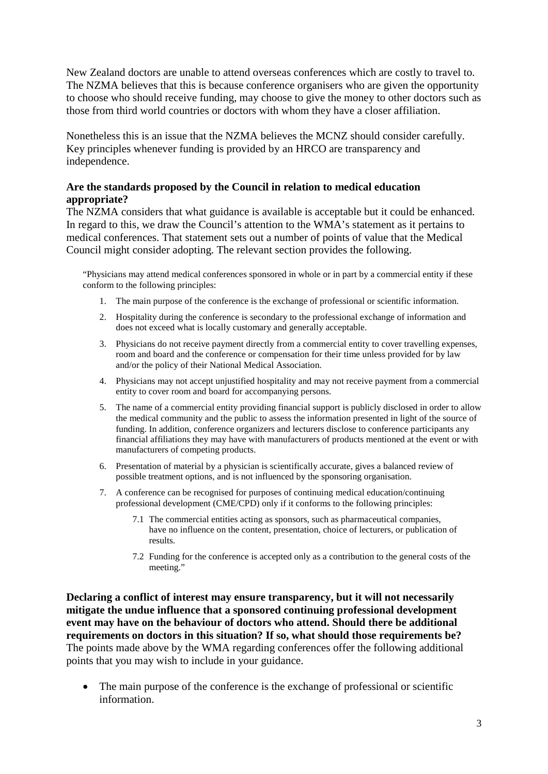New Zealand doctors are unable to attend overseas conferences which are costly to travel to. The NZMA believes that this is because conference organisers who are given the opportunity to choose who should receive funding, may choose to give the money to other doctors such as those from third world countries or doctors with whom they have a closer affiliation.

Nonetheless this is an issue that the NZMA believes the MCNZ should consider carefully. Key principles whenever funding is provided by an HRCO are transparency and independence.

# **Are the standards proposed by the Council in relation to medical education appropriate?**

The NZMA considers that what guidance is available is acceptable but it could be enhanced. In regard to this, we draw the Council's attention to the WMA's statement as it pertains to medical conferences. That statement sets out a number of points of value that the Medical Council might consider adopting. The relevant section provides the following.

"Physicians may attend medical conferences sponsored in whole or in part by a commercial entity if these conform to the following principles:

- 1. The main purpose of the conference is the exchange of professional or scientific information.
- 2. Hospitality during the conference is secondary to the professional exchange of information and does not exceed what is locally customary and generally acceptable.
- 3. Physicians do not receive payment directly from a commercial entity to cover travelling expenses, room and board and the conference or compensation for their time unless provided for by law and/or the policy of their National Medical Association.
- 4. Physicians may not accept unjustified hospitality and may not receive payment from a commercial entity to cover room and board for accompanying persons.
- 5. The name of a commercial entity providing financial support is publicly disclosed in order to allow the medical community and the public to assess the information presented in light of the source of funding. In addition, conference organizers and lecturers disclose to conference participants any financial affiliations they may have with manufacturers of products mentioned at the event or with manufacturers of competing products.
- 6. Presentation of material by a physician is scientifically accurate, gives a balanced review of possible treatment options, and is not influenced by the sponsoring organisation.
- 7. A conference can be recognised for purposes of continuing medical education/continuing professional development (CME/CPD) only if it conforms to the following principles:
	- 7.1 The commercial entities acting as sponsors, such as pharmaceutical companies, have no influence on the content, presentation, choice of lecturers, or publication of results.
	- 7.2 Funding for the conference is accepted only as a contribution to the general costs of the meeting."

**Declaring a conflict of interest may ensure transparency, but it will not necessarily mitigate the undue influence that a sponsored continuing professional development event may have on the behaviour of doctors who attend. Should there be additional requirements on doctors in this situation? If so, what should those requirements be?** The points made above by the WMA regarding conferences offer the following additional points that you may wish to include in your guidance.

• The main purpose of the conference is the exchange of professional or scientific information.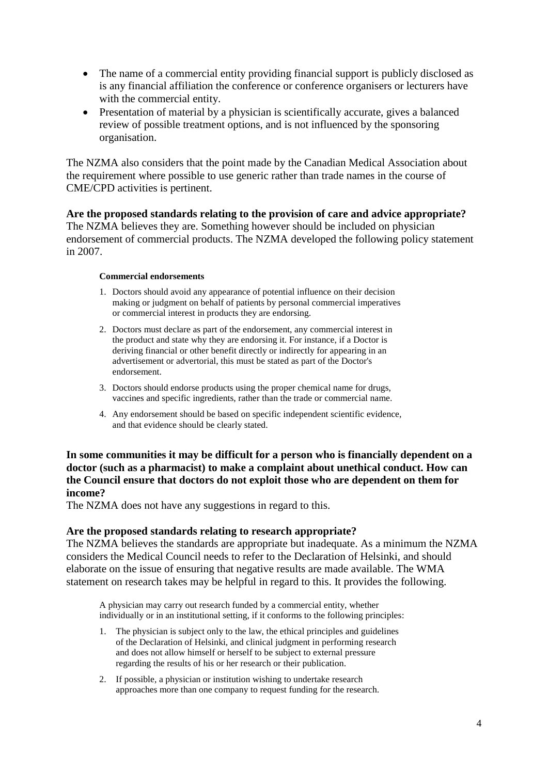- The name of a commercial entity providing financial support is publicly disclosed as is any financial affiliation the conference or conference organisers or lecturers have with the commercial entity.
- Presentation of material by a physician is scientifically accurate, gives a balanced review of possible treatment options, and is not influenced by the sponsoring organisation.

The NZMA also considers that the point made by the Canadian Medical Association about the requirement where possible to use generic rather than trade names in the course of CME/CPD activities is pertinent.

**Are the proposed standards relating to the provision of care and advice appropriate?** The NZMA believes they are. Something however should be included on physician endorsement of commercial products. The NZMA developed the following policy statement in 2007.

#### **Commercial endorsements**

- 1. Doctors should avoid any appearance of potential influence on their decision making or judgment on behalf of patients by personal commercial imperatives or commercial interest in products they are endorsing.
- 2. Doctors must declare as part of the endorsement, any commercial interest in the product and state why they are endorsing it. For instance, if a Doctor is deriving financial or other benefit directly or indirectly for appearing in an advertisement or advertorial, this must be stated as part of the Doctor's endorsement.
- 3. Doctors should endorse products using the proper chemical name for drugs, vaccines and specific ingredients, rather than the trade or commercial name.
- 4. Any endorsement should be based on specific independent scientific evidence, and that evidence should be clearly stated.

### **In some communities it may be difficult for a person who is financially dependent on a doctor (such as a pharmacist) to make a complaint about unethical conduct. How can the Council ensure that doctors do not exploit those who are dependent on them for income?**

The NZMA does not have any suggestions in regard to this.

### **Are the proposed standards relating to research appropriate?**

The NZMA believes the standards are appropriate but inadequate. As a minimum the NZMA considers the Medical Council needs to refer to the Declaration of Helsinki, and should elaborate on the issue of ensuring that negative results are made available. The WMA statement on research takes may be helpful in regard to this. It provides the following.

A physician may carry out research funded by a commercial entity, whether individually or in an institutional setting, if it conforms to the following principles:

- 1. The physician is subject only to the law, the ethical principles and guidelines of the Declaration of Helsinki, and clinical judgment in performing research and does not allow himself or herself to be subject to external pressure regarding the results of his or her research or their publication.
- 2. If possible, a physician or institution wishing to undertake research approaches more than one company to request funding for the research.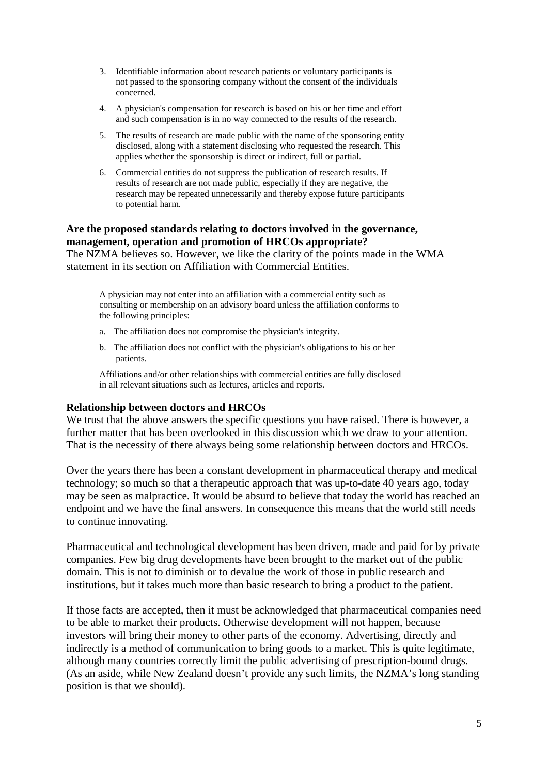- 3. Identifiable information about research patients or voluntary participants is not passed to the sponsoring company without the consent of the individuals concerned.
- 4. A physician's compensation for research is based on his or her time and effort and such compensation is in no way connected to the results of the research.
- 5. The results of research are made public with the name of the sponsoring entity disclosed, along with a statement disclosing who requested the research. This applies whether the sponsorship is direct or indirect, full or partial.
- 6. Commercial entities do not suppress the publication of research results. If results of research are not made public, especially if they are negative, the research may be repeated unnecessarily and thereby expose future participants to potential harm.

## **Are the proposed standards relating to doctors involved in the governance, management, operation and promotion of HRCOs appropriate?**

The NZMA believes so. However, we like the clarity of the points made in the WMA statement in its section on Affiliation with Commercial Entities.

A physician may not enter into an affiliation with a commercial entity such as consulting or membership on an advisory board unless the affiliation conforms to the following principles:

- a. The affiliation does not compromise the physician's integrity.
- b. The affiliation does not conflict with the physician's obligations to his or her patients.

Affiliations and/or other relationships with commercial entities are fully disclosed in all relevant situations such as lectures, articles and reports.

### **Relationship between doctors and HRCOs**

We trust that the above answers the specific questions you have raised. There is however, a further matter that has been overlooked in this discussion which we draw to your attention. That is the necessity of there always being some relationship between doctors and HRCOs.

Over the years there has been a constant development in pharmaceutical therapy and medical technology; so much so that a therapeutic approach that was up-to-date 40 years ago, today may be seen as malpractice. It would be absurd to believe that today the world has reached an endpoint and we have the final answers. In consequence this means that the world still needs to continue innovating.

Pharmaceutical and technological development has been driven, made and paid for by private companies. Few big drug developments have been brought to the market out of the public domain. This is not to diminish or to devalue the work of those in public research and institutions, but it takes much more than basic research to bring a product to the patient.

If those facts are accepted, then it must be acknowledged that pharmaceutical companies need to be able to market their products. Otherwise development will not happen, because investors will bring their money to other parts of the economy. Advertising, directly and indirectly is a method of communication to bring goods to a market. This is quite legitimate, although many countries correctly limit the public advertising of prescription-bound drugs. (As an aside, while New Zealand doesn't provide any such limits, the NZMA's long standing position is that we should).